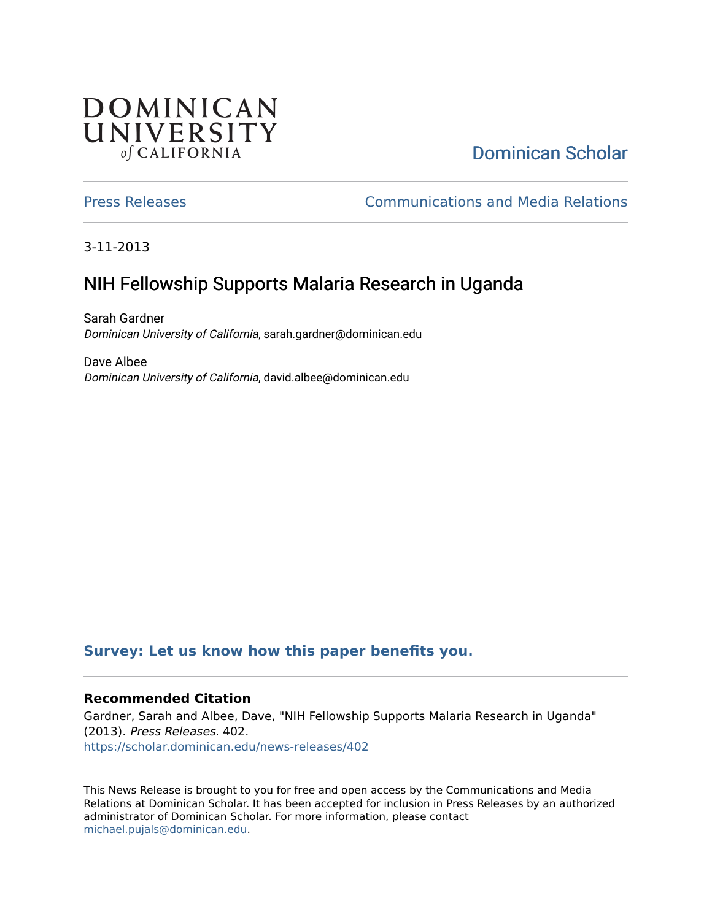## **DOMINICAN** UNIVERSITY of CALIFORNIA

# [Dominican Scholar](https://scholar.dominican.edu/)

[Press Releases](https://scholar.dominican.edu/news-releases) [Communications and Media Relations](https://scholar.dominican.edu/communications-media) 

3-11-2013

# NIH Fellowship Supports Malaria Research in Uganda

Sarah Gardner Dominican University of California, sarah.gardner@dominican.edu

Dave Albee Dominican University of California, david.albee@dominican.edu

#### **[Survey: Let us know how this paper benefits you.](https://dominican.libwizard.com/dominican-scholar-feedback)**

#### **Recommended Citation**

Gardner, Sarah and Albee, Dave, "NIH Fellowship Supports Malaria Research in Uganda" (2013). Press Releases. 402. [https://scholar.dominican.edu/news-releases/402](https://scholar.dominican.edu/news-releases/402?utm_source=scholar.dominican.edu%2Fnews-releases%2F402&utm_medium=PDF&utm_campaign=PDFCoverPages)

This News Release is brought to you for free and open access by the Communications and Media Relations at Dominican Scholar. It has been accepted for inclusion in Press Releases by an authorized administrator of Dominican Scholar. For more information, please contact [michael.pujals@dominican.edu.](mailto:michael.pujals@dominican.edu)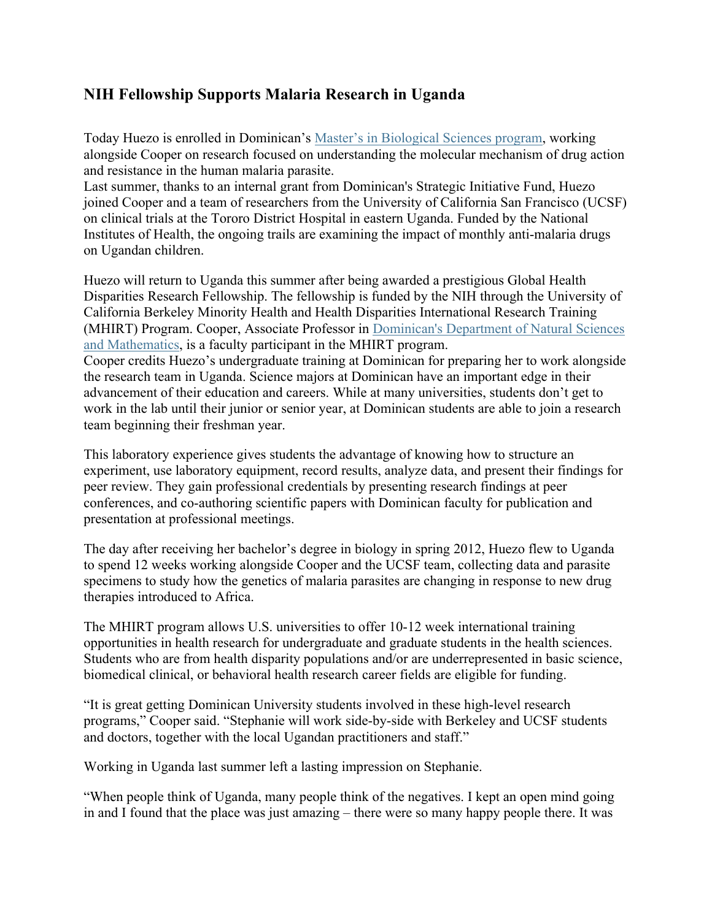### **NIH Fellowship Supports Malaria Research in Uganda**

Today Huezo is enrolled in Dominican's Master's in Biological Sciences program, working alongside Cooper on research focused on understanding the molecular mechanism of drug action and resistance in the human malaria parasite.

Last summer, thanks to an internal grant from Dominican's Strategic Initiative Fund, Huezo joined Cooper and a team of researchers from the University of California San Francisco (UCSF) on clinical trials at the Tororo District Hospital in eastern Uganda. Funded by the National Institutes of Health, the ongoing trails are examining the impact of monthly anti-malaria drugs on Ugandan children.

Huezo will return to Uganda this summer after being awarded a prestigious Global Health Disparities Research Fellowship. The fellowship is funded by the NIH through the University of California Berkeley Minority Health and Health Disparities International Research Training (MHIRT) Program. Cooper, Associate Professor in Dominican's Department of Natural Sciences and Mathematics, is a faculty participant in the MHIRT program.

Cooper credits Huezo's undergraduate training at Dominican for preparing her to work alongside the research team in Uganda. Science majors at Dominican have an important edge in their advancement of their education and careers. While at many universities, students don't get to work in the lab until their junior or senior year, at Dominican students are able to join a research team beginning their freshman year.

This laboratory experience gives students the advantage of knowing how to structure an experiment, use laboratory equipment, record results, analyze data, and present their findings for peer review. They gain professional credentials by presenting research findings at peer conferences, and co-authoring scientific papers with Dominican faculty for publication and presentation at professional meetings.

The day after receiving her bachelor's degree in biology in spring 2012, Huezo flew to Uganda to spend 12 weeks working alongside Cooper and the UCSF team, collecting data and parasite specimens to study how the genetics of malaria parasites are changing in response to new drug therapies introduced to Africa.

The MHIRT program allows U.S. universities to offer 10-12 week international training opportunities in health research for undergraduate and graduate students in the health sciences. Students who are from health disparity populations and/or are underrepresented in basic science, biomedical clinical, or behavioral health research career fields are eligible for funding.

"It is great getting Dominican University students involved in these high-level research programs," Cooper said. "Stephanie will work side-by-side with Berkeley and UCSF students and doctors, together with the local Ugandan practitioners and staff."

Working in Uganda last summer left a lasting impression on Stephanie.

"When people think of Uganda, many people think of the negatives. I kept an open mind going in and I found that the place was just amazing – there were so many happy people there. It was